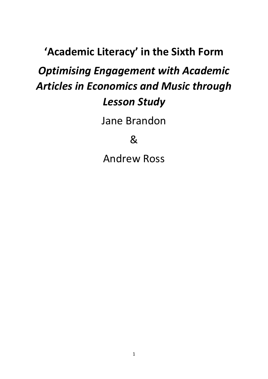# **'Academic Literacy' in the Sixth Form**  *Optimising Engagement with Academic Articles in Economics and Music through Lesson Study*

Jane Brandon

&

Andrew Ross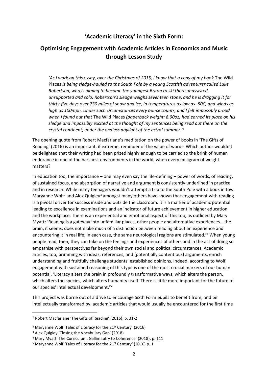# **'Academic Literacy' in the Sixth Form:**

# **Optimising Engagement with Academic Articles in Economics and Music through Lesson Study**

'As I work on this essay, over the Christmas of 2015, I know that a copy of my book The Wild Places *is being sledge-hauled to the South Pole by a young Scottish adventurer called Luke Robertson, who is aiming to become the youngest Briton to ski there unassisted, unsupported and solo. Robertson's sledge weighs seventeen stone, and he is dragging it for thirty-five days over 730 miles of snow and ice, in temperatures as low as -50C, and winds as high as 100mph. Under such circumstances every ounce counts, and I felt impossibly proud when I found out that* The Wild Places *(paperback weight: 8.90oz) had earned its place on his sledge and impossibly excited at the thought of my sentences being read out there on the crystal continent, under the endless daylight of the astral summer.'<sup>1</sup>*

The opening quote from Robert Macfarlane's meditation on the power of books in 'The Gifts of Reading' (2016) is an important, if extreme, reminder of the value of words. Which author wouldn't be delighted that their writing had been prized highly enough to be carried to the brink of human endurance in one of the harshest environments in the world, when every milligram of weight matters?

In education too, the importance – one may even say the life-defining – power of words, of reading, of sustained focus, and absorption of narrative and argument is consistently underlined in practice and in research. While many teenagers wouldn't attempt a trip to the South Pole with a book in tow, Maryanne Wolf<sup>2</sup> and Alex Quigley<sup>3</sup> amongst many others have shown that engagement with reading is a pivotal driver for success inside and outside the classroom. It is a marker of academic potential leading to excellence in examinations and an indicator of future achievement in higher education and the workplace. There is an experiential and emotional aspect of this too, as outlined by Mary Myatt: 'Reading is a gateway into unfamiliar places, other people and alternative experiences… the brain, it seems, does not make much of a distinction between reading about an experience and encountering it in real life; in each case, the same neurological regions are stimulated.'<sup>4</sup> When young people read, then, they can take on the feelings and experiences of others and in the act of doing so empathise with perspectives far beyond their own social and political circumstances. Academic articles, too, brimming with ideas, references, and (potentially contentious) arguments, enrich understanding and fruitfully challenge students' established opinions. Indeed, according to Wolf, engagement with sustained reasoning of this type is one of the most crucial markers of our human potential. 'Literacy alters the brain in profoundly transformative ways, which alters the person, which alters the species, which alters humanity itself. There is little more important for the future of our species' intellectual development.'<sup>5</sup>

This project was borne out of a drive to encourage Sixth Form pupils to benefit from, and be intellectually transformed by, academic articles that would usually be encountered for the first time

.

<sup>1</sup> Robert Macfarlane 'The Gifts of Reading' (2016), p. 31-2

<sup>&</sup>lt;sup>2</sup> Maryanne Wolf 'Tales of Literacy for the 21<sup>st</sup> Century' (2016)

<sup>3</sup> Alex Quigley 'Closing the Vocabulary Gap' (2018)

<sup>4</sup> Mary Myatt 'The Curriculum: Gallimaufry to Coherence' (2018), p. 111

<sup>&</sup>lt;sup>5</sup> Maryanne Wolf 'Tales of Literacy for the 21<sup>st</sup> Century' (2016) p. 1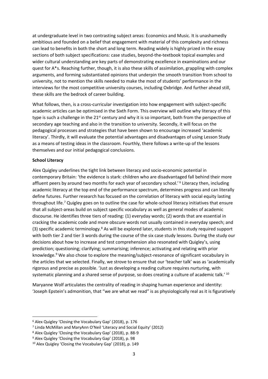at undergraduate level in two contrasting subject areas: Economics and Music. It is unashamedly ambitious and founded on a belief that engagement with material of this complexity and richness can lead to benefits in both the short and long term. Reading widely is highly prized in the essay sections of both subject specifications: case studies, beyond-the-textbook topical examples and wider cultural understanding are key parts of demonstrating excellence in examinations and our quest for A\*s. Reaching further, though, it is also these skills of assimilation, grappling with complex arguments, and forming substantiated opinions that underpin the smooth transition from school to university, not to mention the skills needed to make the most of students' performance in the interviews for the most competitive university courses, including Oxbridge. And further ahead still, these skills are the bedrock of career building.

What follows, then, is a cross-curricular investigation into how engagement with subject-specific academic articles can be optimised in the Sixth Form. This overview will outline why literacy of this type is such a challenge in the 21<sup>st</sup> century and why it is so important, both from the perspective of secondary age teaching and also in the transition to university. Secondly, it will focus on the pedagogical processes and strategies that have been shown to encourage increased 'academic literacy'. Thirdly, it will evaluate the potential advantages and disadvantages of using Lesson Study as a means of testing ideas in the classroom. Fourthly, there follows a write-up of the lessons themselves and our initial pedagogical conclusions.

#### **School Literacy**

.

Alex Quigley underlines the tight link between literacy and socio-economic potential in contemporary Britain: 'the evidence is stark: children who are disadvantaged fall behind their more affluent peers by around two months for each year of secondary school.'<sup>6</sup> Literacy then, including academic literacy at the top end of the performance spectrum, determines progress and can literally define futures. Further research has focused on the correlation of literacy with social equity lasting throughout life.<sup>7</sup> Quigley goes on to outline the case for whole-school literacy initiatives that ensure that all subject-areas build on subject specific vocabulary as well as general modes of academic discourse. He identifies three tiers of reading: (1) everyday words; (2) words that are essential in cracking the academic code and more obscure words not usually contained in everyday speech; and (3) specific academic terminology.<sup>8</sup> As will be explored later, students in this study required support with both tier 2 and tier 3 words during the course of the six case study lessons. During the study our decisions about how to increase and test comprehension also resonated with Quigley's, using prediction; questioning; clarifying; summarising; inference; activating and relating with prior knowledge.<sup>9</sup> We also chose to explore the meaning/subject-resonance of significant vocabulary in the articles that we selected. Finally, we strove to ensure that our 'teacher talk' was as 'academically rigorous and precise as possible. 'Just as developing a reading culture requires nurturing, with systematic planning and a shared sense of purpose, so does creating a culture of academic talk.<sup>' 10</sup>

Maryanne Wolf articulates the centrality of reading in shaping human experience and identity: 'Joseph Epstein's admonition, that "we are what we read" is as physiologically real as it is figuratively

<sup>6</sup> Alex Quigley 'Closing the Vocabulary Gap' (2018), p. 176

<sup>7</sup> Linda McMillan and MaryAnn O'Neil 'Literacy and Social Equity' (2012)

<sup>8</sup> Alex Quigley 'Closing the Vocabulary Gap' (2018), p. 88-9

<sup>9</sup> Alex Quigley 'Closing the Vocabulary Gap' (2018), p. 98

<sup>10</sup> Alex Quigley 'Closing the Vocabulary Gap' (2018), p. 149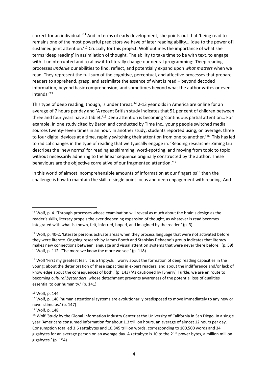correct for an individual.'<sup>11</sup> And in terms of early development, she points out that 'being read to remains one of the most powerful predictors we have of later reading ability… [due to the power of] sustained joint attention.<sup>'12</sup> Crucially for this project, Wolf outlines the importance of what she terms 'deep reading' in assimilation of thought. The ability to take time to be with text, to engage with it uninterrupted and to allow it to literally change our neural programming: 'Deep reading processes *underlie* our abilities to find, reflect, and potentially expand upon *what matters* when we read. They represent the full sum of the cognitive, perceptual, and affective processes that prepare readers to apprehend, grasp, and assimilate the essence of what is read – beyond decoded information, beyond basic comprehension, and sometimes beyond what the author writes or even intends.'<sup>13</sup>

This type of deep reading, though, is under threat.<sup>14</sup> 2-13 year olds in America are online for an average of 7 hours per day and 'A recent British study indicates that 51 per cent of children between three and four years have a tablet.'<sup>15</sup> Deep attention is becoming 'continuous partial attention… For example, in one study cited by Baron and conducted by Time Inc., young people switched media sources twenty-seven times in an hour. In another study, students reported using, on average, three to four digital devices at a time, rapidly switching their attention from one to another.<sup>16</sup> This has led to radical changes in the type of reading that we typically engage in. 'Reading researcher Ziming Liu describes the 'new norms' for reading as skimming, word-spotting, and moving from topic to topic without necessarily adhering to the linear sequence originally constructed by the author. These behaviours are the objective correlative of our fragmented attention.'<sup>17</sup>

In this world of almost incomprehensible amounts of information at our fingertips<sup>18</sup> then the challenge is how to maintain the skill of single point focus and deep engagement with reading. And

<sup>14</sup> Wolf 'First my greatest fear. It is a triptych. I worry about the formation of deep reading capacities in the young; about the deterioration of these capacities in expert readers; and about the indifference and/or lack of knowledge about the consequences of both.' (p. 143) 'As cautioned by [Sherry] Turkle, we are en route to becoming *cultural bystanders*, whose detachment prevents awareness of the potential loss of qualities essential to our humanity.' (p. 141)

.

<sup>&</sup>lt;sup>11</sup> Wolf, p. 4. 'Through processes whose examination will reveal as much about the brain's design as the reader's skills, literacy propels the ever deepening expansion of thought, as whatever is read becomes integrated with what is known, felt, inferred, hoped, and imagined by the reader.' (p. 3)

<sup>12</sup> Wolf, p. 40-2. 'Literate persons activate areas when they process language that were not activated before they were literate. Ongoing research by James Booth and Stanislas Dehaene's group indicates that literacy makes new connections between language and visual attention systems that were never there before.' (p. 59) <sup>13</sup> Wolf, p. 112. 'The more we know the more we see.' (p. 118)

<sup>15</sup> Wolf, p. 144

<sup>&</sup>lt;sup>16</sup> Wolf, p. 146 'human attentional systems are evolutionarily predisposed to move immediately to any new or novel stimulus.' (p. 147)

<sup>17</sup> Wolf, p. 148

<sup>&</sup>lt;sup>18</sup> Wolf 'Study by the Global Information Industry Center at the University of California in San Diego. In a single year 'Americans consumed information for about 1.3 trillion hours, an average of almost 12 hours per day. Consumption totalled 3.6 zettabytes and 10,845 trillion words, corresponding to 100,500 words and 34 gigabytes for an average person on an average day. A zettabyte is 10 to the  $21<sup>st</sup>$  power bytes, a million million gigabytes.' (p. 154)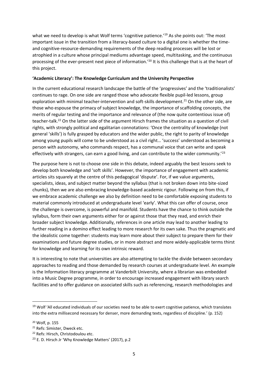what we need to develop is what Wolf terms 'cognitive patience.'<sup>19</sup> As she points out: 'The most important issue in the transition from a literacy-based culture to a digital one is whether the timeand cognitive-resource-demanding requirements of the deep reading processes will be lost or atrophied in a culture whose principal mediums advantage speed, multitasking, and the continuous processing of the ever-present next piece of information.'<sup>20</sup> It is this challenge that is at the heart of this project.

#### **'Academic Literacy': The Knowledge Curriculum and the University Perspective**

In the current educational research landscape the battle of the 'progressives' and the 'traditionalists' continues to rage. On one side are ranged those who advocate flexible pupil-led lessons, group exploration with minimal teacher-intervention and soft-skills development.<sup>21</sup> On the other side, are those who espouse the primacy of subject knowledge, the importance of scaffolding concepts, the merits of regular testing and the importance and relevance of (the now quite contentious issue of) teacher-talk.<sup>22</sup> On the latter side of the argument Hirsch frames the situation as a question of civil rights, with strongly political and egalitarian connotations: 'Once the centrality of knowledge (not general 'skills') is fully grasped by educators and the wider public, the right to parity of knowledge among young pupils will come to be understood as a civil right… 'success' understood as becoming a person with autonomy, who commands respect, has a communal voice that can write and speak effectively with strangers, can earn a good living, and can contribute to the wider community.<sup>'23</sup>

The purpose here is not to choose one side in this debate, indeed arguably the best lessons seek to develop both knowledge and 'soft skills'. However, the importance of engagement with academic articles sits squarely at the centre of this pedagogical 'dispute'. For, if we value arguments, specialists, ideas, and subject matter beyond the syllabus (that is not broken down into bite-sized chunks), then we are also embracing knowledge-based academic rigour. Following on from this, if we embrace academic challenge we also by definition need to be comfortable exposing students to material commonly introduced at undergraduate level 'early'. What this can offer of course, once the challenge is overcome, is powerful and manifold. Students have the chance to think outside the syllabus, form their own arguments either for or against those that they read, and enrich their broader subject knowledge. Additionally, references in one article may lead to another leading to further reading in a domino effect leading to more research for its own sake. Thus the pragmatic and the idealistic come together: students may learn more about their subject to prepare them for their examinations and future degree studies, or in more abstract and more widely-applicable terms thirst for knowledge and learning for its own intrinsic reward.

It is interesting to note that universities are also attempting to tackle the divide between secondary approaches to reading and those demanded by research courses at undergraduate level. An example is the Information literacy programme at Vanderbilt University, where a librarian was embedded into a Music Degree programme, in order to encourage increased engagement with library search facilities and to offer guidance on associated skills such as referencing, research methodologies and

1

<sup>&</sup>lt;sup>19</sup> Wolf 'All educated individuals of our societies need to be able to exert cognitive patience, which translates into the extra millisecond necessary for denser, more demanding texts, regardless of discipline.' (p. 152)

<sup>20</sup> Wolf, p. 155

<sup>21</sup> Refs: Simister, Dweck etc.

<sup>22</sup> Refs: Hirsch, Christodoulou etc.

<sup>&</sup>lt;sup>23</sup> E. D. Hirsch Jr 'Why Knowledge Matters' (2017), p.2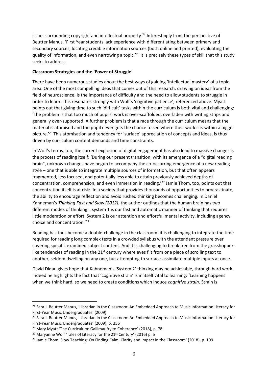issues surrounding copyright and intellectual property.<sup>24</sup> Interestingly from the perspective of Beutter Manus, 'First Year students lack experience with differentiating between primary and secondary sources, locating credible information sources (both online and printed), evaluating the quality of information, and even narrowing a topic.<sup>'25</sup> It is precisely these types of skill that this study seeks to address.

#### **Classroom Strategies and the 'Power of Struggle'**

There have been numerous studies about the best ways of gaining 'intellectual mastery' of a topic area. One of the most compelling ideas that comes out of this research, drawing on ideas from the field of neuroscience, is the importance of difficulty and the need to allow students to struggle in order to learn. This resonates strongly with Wolf's 'cognitive patience', referenced above. Myatt points out that giving time to such 'difficult' tasks within the curriculum is both vital and challenging: 'The problem is that too much of pupils' work is over-scaffolded, overladen with writing strips and generally over-supported. A further problem is that a race through the curriculum means that the material is atomised and the pupil never gets the chance to see where their work sits within a bigger picture.'<sup>26</sup> This atomisation and tendency for 'surface' appreciation of concepts and ideas, is thus driven by curriculum content demands and time constraints.

In Wolf's terms, too, the current explosion of digital engagement has also lead to massive changes is the process of reading itself: 'During our present transition, with its emergence of a "digital reading brain", unknown changes have begun to accompany the co-occurring emergence of a new reading style – one that is able to integrate multiple sources of information, but that often appears fragmented, less focused, and potentially less able to attain previously achieved depths of concentration, comprehension, and even immersion in reading.'<sup>27</sup> Jamie Thom, too, points out that concentration itself is at risk: 'In a society that provides thousands of opportunities to procrastinate, the ability to encourage reflection and avoid rushed thinking becomes challenging. In Daniel Kahneman's *Thinking Fast and Slow (2012)*, the author outlines that the human brain has two different modes of thinking… system 1 is our fast and automatic manner of thinking that requires little moderation or effort. System 2 is our attention and effortful mental activity, including agency, choice and concentration.'<sup>28</sup>

Reading has thus become a double-challenge in the classroom: it is challenging to integrate the time required for reading long complex texts in a crowded syllabus with the attendant pressure over covering specific examined subject content. And it is challenging to break free from the grasshopperlike tendencies of reading in the  $21<sup>st</sup>$  century where eyes flit from one piece of scrolling text to another, seldom dwelling on any one, but attempting to surface-assimilate multiple inputs at once.

David Didau gives hope that Kahneman's 'System 2' thinking may be achievable, through hard work. Indeed he highlights the fact that 'cognitive strain' is in itself vital to learning: 'Learning happens when we think hard, so we need to create conditions which induce *cognitive strain*. Strain is

.

<sup>&</sup>lt;sup>24</sup> Sara J. Beutter Manus, 'Librarian in the Classroom: An Embedded Approach to Music Information Literacy for First-Year Music Undergraduates' (2009)

<sup>&</sup>lt;sup>25</sup> Sara J. Beutter Manus, 'Librarian in the Classroom: An Embedded Approach to Music Information Literacy for First-Year Music Undergraduates' (2009), p. 256

<sup>&</sup>lt;sup>26</sup> Mary Myatt 'The Curriculum: Gallimaufry to Coherence' (2018), p. 78

<sup>&</sup>lt;sup>27</sup> Maryanne Wolf 'Tales of Literacy for the 21<sup>st</sup> Century' (2016) p. 5

<sup>&</sup>lt;sup>28</sup> Jamie Thom 'Slow Teaching: On Finding Calm, Clarity and Impact in the Classroom' (2018), p. 109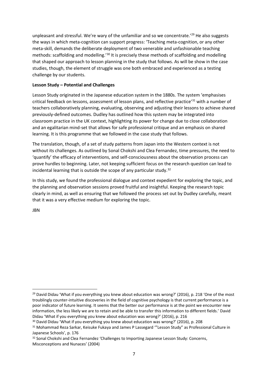unpleasant and stressful. We're wary of the unfamiliar and so we concentrate.<sup>'29</sup> He also suggests the ways in which meta-cognition can support progress: 'Teaching meta-cognition, or any other meta-skill, demands the deliberate deployment of two venerable and unfashionable teaching methods: scaffolding and modelling.'<sup>30</sup> It is precisely these methods of scaffolding and modelling that shaped our approach to lesson planning in the study that follows. As will be show in the case studies, though, the element of struggle was one both embraced and experienced as a testing challenge by our students.

#### **Lesson Study – Potential and Challenges**

Lesson Study originated in the Japanese education system in the 1880s. The system 'emphasises critical feedback on lessons, assessment of lesson plans, and reflective practice'<sup>31</sup> with a number of teachers collaboratively planning, evaluating, observing and adjusting their lessons to achieve shared previously-defined outcomes. Dudley has outlined how this system may be integrated into classroom practice in the UK context, highlighting its power for change due to close collaboration and an egalitarian mind-set that allows for safe professional critique and an emphasis on shared learning. It is this programme that we followed in the case study that follows.

The translation, though, of a set of study patterns from Japan into the Western context is not without its challenges. As outlined by Sonal Chokshi and Clea Fernandez, time pressures, the need to 'quantify' the efficacy of interventions, and self-consciousness about the observation process can prove hurdles to beginning. Later, not keeping sufficient focus on the research question can lead to incidental learning that is outside the scope of any particular study.<sup>32</sup>

In this study, we found the professional dialogue and context expedient for exploring the topic, and the planning and observation sessions proved fruitful and insightful. Keeping the research topic clearly in mind, as well as ensuring that we followed the process set out by Dudley carefully, meant that it was a very effective medium for exploring the topic.

JBN

.

 $29$  David Didau 'What if you everything you knew about education was wrong?' (2016), p. 218 'One of the most troublingly counter-intuitive discoveries in the field of cognitive psychology is that current performance is a poor indicator of future learning. It seems that the better our performance is at the point we encounter new information, the less likely we are to retain and be able to transfer this information to different fields.' David Didau 'What if you everything you knew about education was wrong?' (2016), p. 216

<sup>30</sup> David Didau 'What if you everything you knew about education was wrong?' (2016), p. 208

<sup>31</sup> Mohammad Reza Sarkar, Keisuke Fukaya and James P Lassegard "'Lesson Study" as Professional Culture in Japanese Schools', p. 176

<sup>32</sup> Sonal Chokshi and Clea Fernandez 'Challenges to Importing Japanese Lesson Study: Concerns, Misconceptions and Nunaces' (2004)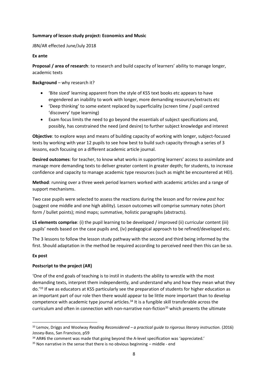#### **Summary of lesson study project: Economics and Music**

JBN/AR effected June/July 2018

#### **Ex ante**

**Proposal / area of research**: to research and build capacity of learners' ability to manage longer, academic texts

**Background** – why research it?

- 'Bite sized' learning apparent from the style of KS5 text books etc appears to have engendered an inability to work with longer, more demanding resources/extracts etc
- 'Deep thinking' to some extent replaced by superficiality (screen time / pupil centred 'discovery' type learning)
- Exam focus limits the need to go beyond the essentials of subject specifications and, possibly, has constrained the need (and desire) to further subject knowledge and interest

**Objective**: to explore ways and means of building capacity of working with longer, subject-focused texts by working with year 12 pupils to see how best to build such capacity through a series of 3 lessons, each focusing on a different academic article journal.

**Desired outcomes**: for teacher, to know what works in supporting learners' access to assimilate and manage more demanding texts to deliver greater content in greater depth; for students, to increase confidence and capacity to manage academic type resources (such as might be encountered at HEI).

**Method**: running over a three week period learners worked with academic articles and a range of support mechanisms.

Two case pupils were selected to assess the reactions during the lesson and for review *post hoc* (suggest one middle and one high ability). Lesson outcomes will comprise summary notes (short form / bullet points); mind maps; summative, holistic paragraphs (abstracts).

**LS elements comprise**: (i) the pupil learning to be developed / improved (ii) curricular content (iii) pupils' needs based on the case pupils and, (iv) pedagogical approach to be refined/developed etc.

The 3 lessons to follow the lesson study pathway with the second and third being informed by the first. Should adaptation in the method be required according to perceived need then this can be so.

#### **Ex post**

.

#### **Postscript to the project (AR)**

'One of the end goals of teaching is to instil in students the ability to wrestle with the most demanding texts, interpret them independently, and understand why and how they mean what they do.'<sup>33</sup> If we as educators at KS5 particularly see the preparation of students for higher education as an important part of our role then there would appear to be little more important than to develop competence with academic type journal articles.<sup>34</sup> It is a fungible skill transferable across the curriculum and often in connection with non-narrative non-fiction<sup>35</sup> which presents the ultimate

<sup>33</sup> Lemov, Driggs and Woolway *Reading Reconsidered – a practical guide to rigorous literary instruction.* (2016) Jossey-Bass, San Francisco, p59

 $34$  AR#6 the comment was made that going beyond the A-level specification was 'appreciated.'

 $35$  Non narrative in the sense that there is no obvious beginning  $-$  middle - end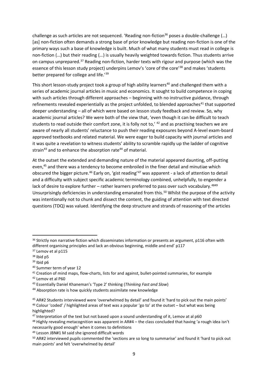challenge as such articles are not sequenced. 'Reading non-fiction<sup>36</sup> poses a double-challenge  $(...)$ [as] non-fiction often demands a strong base of prior knowledge but reading non-fiction is one of the primary ways such a base of knowledge is built. Much of what many students must read in college is non-fiction (…) but their reading (…) is usually heavily weighted towards fiction. Thus students arrive on campus unprepared.<sup>37</sup> Reading non-fiction, harder texts with rigour and purpose (which was the essence of this lesson study project) underpins Lemov's 'core of the core<sup>'38</sup> and makes 'students better prepared for college and life.<sup>'39</sup>

This short lesson-study project took a group of high ability learners<sup>40</sup> and challenged them with a series of academic journal articles in music and economics. It sought to build competence in coping with such articles through different approaches – beginning with no instructive guidance, through refinements revealed experientially as the project unfolded, to blended approaches<sup>41</sup> that supported deeper understanding – all of which were based on lesson study feedback and review. So, why academic journal articles? We were both of the view that, 'even though it can be difficult to teach students to read outside their comfort zone, it is folly not to,' <sup>42</sup> and as practising teachers we are aware of nearly all students' reluctance to push their reading exposures beyond A-level exam-board approved textbooks and related material. We were eager to build capacity with journal articles and it was quite a revelation to witness students' ability to scramble rapidly up the ladder of cognitive strain<sup>43</sup> and to enhance the absorption rate<sup>44</sup> of material.

At the outset the extended and demanding nature of the material appeared daunting, off-putting even,<sup>45</sup> and there was a tendency to become embroiled in the finer detail and minutiae which obscured the bigger picture.<sup>46</sup> Early on, 'gist reading'<sup>47</sup> was apparent - a lack of attention to detail and a difficulty with subject specific academic terminology combined, unhelpfully, to engender a lack of desire to explore further – rather learners preferred to pass over such vocabulary.<sup>4849</sup> Unsurprisingly deficiencies in understanding emanated from this.<sup>50</sup> Whilst the purpose of the activity was intentionally not to chunk and dissect the content, the guiding of attention with text directed questions (TDQ) was valued. Identifying the deep structure and strands of reasoning of the articles

1

<sup>&</sup>lt;sup>36</sup> Strictly non narrative fiction which disseminates information or presents an argument, p116 often with different organising principles and lack an obvious beginning, middle and end' p117

<sup>&</sup>lt;sup>37</sup> Lemov et al p115

<sup>38</sup> Ibid p5

<sup>39</sup> Ibid p6

<sup>40</sup> Summer term of year 12

<sup>&</sup>lt;sup>41</sup> Creation of mind maps, flow-charts, lists for and against, bullet-pointed summaries, for example

<sup>42</sup> Lemov et al P60

<sup>43</sup> Essentially Daniel Khaneman's 'Type 2' thinking (*Thinking Fast and Slow*)

<sup>44</sup> Absorption rate is how quickly students assimilate new knowledge

<sup>45</sup> AR#2 Students interviewed were 'overwhelmed by detail' and found it 'hard to pick out the main points' <sup>46</sup> Colour 'coded' / highlighted areas of text was a popular 'go to' at the outset – but what was being highlighted?

 $47$  Interpretation of the text but not based upon a sound understanding of it, Lemov at al p60

<sup>48</sup> Highly revealing metacognition was apparent in AR#4 – the class concluded that having 'a rough idea isn't necessarily good enough' when it comes to definitions

<sup>49</sup> Lesson JBN#1 M said she ignored difficult words

<sup>50</sup> AR#2 interviewed pupils commented the 'sections are so long to summarise' and found it 'hard to pick out main points' and felt 'overwhelmed by detail'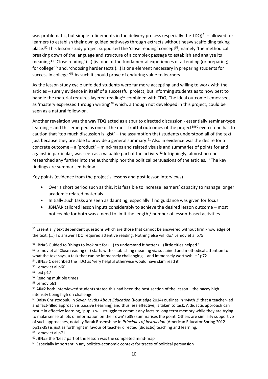was problematic, but simple refinements in the delivery process (especially the TDQ) $51 -$ allowed for learners to establish their own guided pathways through extracts without heavy scaffolding taking place.<sup>52</sup> This lesson study project supported the 'close reading' concept<sup>53</sup>, namely 'the methodical breaking down of the language and structure of a complex passage to establish and analyse its meaning.<sup>54</sup> 'Close reading' (…) [is] one of the fundamental experiences of attending (or preparing) for college<sup>'55</sup> and, 'choosing harder texts (...) is one element necessary in preparing students for success in college.'<sup>56</sup> As such it should prove of enduring value to learners.

As the lesson study cycle unfolded students were far more accepting and willing to work with the articles – surely evidence in itself of a successful project, but informing students as to how best to handle the material requires layered reading<sup>57</sup> combined with TDQ. The ideal outcome Lemov sees as 'mastery expressed through writing'<sup>58</sup> which, although not developed in this project, could be seen as a natural follow-on.

Another revelation was the way TDQ acted as a spur to directed discussion - essentially seminar-type learning – and this emerged as one of the most fruitful outcomes of the project<sup>5960</sup> even if one has to caution that 'too much discussion is 'gist' – the assumption that students understood all of the text just because they are able to provide a general summary.<sup>61</sup> Also in evidence was the desire for a concrete outcome – a 'product' – mind-maps and related visuals and summaries of points for and against in particular, was seen as a valuable part of the activity.<sup>62</sup> Intriguingly, almost no one researched any further into the authorship nor the political persuasions of the articles.<sup>63</sup> The key findings are summarised below.

Key points (evidence from the project's lessons and post lesson interviews)

- Over a short period such as this, it is feasible to increase learners' capacity to manage longer academic related materials
- Initially such tasks are seen as daunting, especially if no guidance was given for focus
- JBN/AR tailored lesson inputs considerably to achieve the desired lesson outcome most noticeable for both was a need to limit the length / number of lesson-based activities

1

<sup>&</sup>lt;sup>51</sup> Essentially text dependent questions which are those that cannot be answered without firm knowledge of the text. (…) To answer TDQ required attentive reading. Nothing else will do.' Lemov et al p75

<sup>52</sup> JBN#3 Guided to 'things to look out for (…) to understand it better (…) little titles helped.' 53 Lemov et al 'Close reading (...) starts with establishing meaning via sustained and methodical attention to what the text says, a task that can be immensely challenging – and immensely worthwhile.' p72

<sup>54</sup> JBN#5 C described the TDQ as 'very helpful otherwise would have skim read it'

<sup>55</sup> Lemov et al p60

<sup>56</sup> Ibid p17

<sup>57</sup> Reading multiple times

<sup>58</sup> Lemov p61

<sup>&</sup>lt;sup>59</sup> AR#2 both interviewed students stated this had been the best section of the lesson – the pacey high intensity being high on challenge

<sup>60</sup> Daisy Christodoulu in *Seven Myths About Education* (Routledge 2014) outlines in 'Myth 2' that a teacher-led and fact-filled approach is passive (learning) and thus less effective, is taken to task. A didactic approach can result in effective learning, 'pupils will struggle to commit any facts to long term memory while they are trying to make sense of lots of information on their own' (p39) summarises the point. Others are similarly supportive of such approaches, notably Barak Rosenshine in *Principles of Instruction* (American Educator Spring 2012 pp12-39) is just as forthright in favour of teacher directed (didactic) teaching and learning.

<sup>&</sup>lt;sup>61</sup> Lemov et al p71

 $62$  JBN#5 the 'best' part of the lesson was the completed mind-map

<sup>&</sup>lt;sup>63</sup> Especially important in any politico-economic context for traces of political persuasion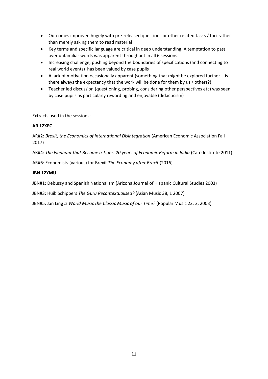- Outcomes improved hugely with pre-released questions or other related tasks / foci rather than merely asking them to read material
- Key terms and specific language are critical in deep understanding. A temptation to pass over unfamiliar words was apparent throughout in all 6 sessions.
- Increasing challenge, pushing beyond the boundaries of specifications (and connecting to real world events) has been valued by case pupils
- A lack of motivation occasionally apparent (something that might be explored further is there always the expectancy that the work will be done for them by us / others?)
- Teacher led discussion (questioning, probing, considering other perspectives etc) was seen by case pupils as particularly rewarding and enjoyable (didacticism)

Extracts used in the sessions:

#### **AR 12XEC**

AR#2: *Brexit, the Economics of International Disintegration* (American Economic Association Fall 2017)

AR#4: *The Elephant that Became a Tiger: 20 years of Economic Reform in India* (Cato Institute 2011)

AR#6: Economists (various) for Brexit *The Economy after Brexit* (2016)

## **JBN 12YMU**

JBN#1: Debussy and Spanish Nationalism (Arizona Journal of Hispanic Cultural Studies 2003)

JBN#3: Huib Schippers *The Guru Recontextualised?* (Asian Music 38, 1 2007)

JBN#5: Jan Ling *Is World Music the Classic Music of our Time?* (Popular Music 22, 2, 2003)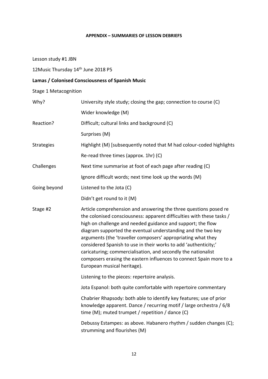# **APPENDIX – SUMMARIES OF LESSON DEBRIEFS**

Lesson study #1 JBN

12Music Thursday 14th June 2018 P5

# **Lamas / Colonised Consciousness of Spanish Music**

Stage 1 Metacognition

| Why?              | University style study; closing the gap; connection to course (C)                                                                                                                                                                                                                                                                                                                                                                                                                                                                                                                  |  |  |
|-------------------|------------------------------------------------------------------------------------------------------------------------------------------------------------------------------------------------------------------------------------------------------------------------------------------------------------------------------------------------------------------------------------------------------------------------------------------------------------------------------------------------------------------------------------------------------------------------------------|--|--|
|                   | Wider knowledge (M)                                                                                                                                                                                                                                                                                                                                                                                                                                                                                                                                                                |  |  |
| Reaction?         | Difficult; cultural links and background (C)                                                                                                                                                                                                                                                                                                                                                                                                                                                                                                                                       |  |  |
|                   | Surprises (M)                                                                                                                                                                                                                                                                                                                                                                                                                                                                                                                                                                      |  |  |
| <b>Strategies</b> | Highlight (M) [subsequently noted that M had colour-coded highlights                                                                                                                                                                                                                                                                                                                                                                                                                                                                                                               |  |  |
|                   | Re-read three times (approx. 1hr) (C)                                                                                                                                                                                                                                                                                                                                                                                                                                                                                                                                              |  |  |
| Challenges        | Next time summarise at foot of each page after reading (C)                                                                                                                                                                                                                                                                                                                                                                                                                                                                                                                         |  |  |
|                   | Ignore difficult words; next time look up the words (M)                                                                                                                                                                                                                                                                                                                                                                                                                                                                                                                            |  |  |
| Going beyond      | Listened to the Jota (C)                                                                                                                                                                                                                                                                                                                                                                                                                                                                                                                                                           |  |  |
|                   | Didn't get round to it (M)                                                                                                                                                                                                                                                                                                                                                                                                                                                                                                                                                         |  |  |
| Stage #2          | Article comprehension and answering the three questions posed re<br>the colonised consciousness: apparent difficulties with these tasks /<br>high on challenge and needed guidance and support; the flow<br>diagram supported the eventual understanding and the two key<br>arguments (the 'traveller composers' appropriating what they<br>considered Spanish to use in their works to add 'authenticity;'<br>caricaturing; commercialisation, and secondly the nationalist<br>composers erasing the eastern influences to connect Spain more to a<br>European musical heritage). |  |  |
|                   | Listening to the pieces: repertoire analysis.                                                                                                                                                                                                                                                                                                                                                                                                                                                                                                                                      |  |  |
|                   | Jota Espanol: both quite comfortable with repertoire commentary                                                                                                                                                                                                                                                                                                                                                                                                                                                                                                                    |  |  |
|                   | Chabrier Rhapsody: both able to identify key features; use of prior<br>knowledge apparent. Dance / recurring motif / large orchestra / 6/8<br>time (M); muted trumpet / repetition / dance (C)                                                                                                                                                                                                                                                                                                                                                                                     |  |  |
|                   | Debussy Estampes: as above. Habanero rhythm / sudden changes (C);<br>strumming and flourishes (M)                                                                                                                                                                                                                                                                                                                                                                                                                                                                                  |  |  |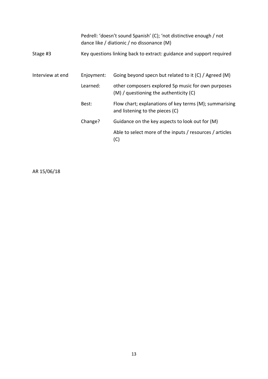|                  | Pedrell: 'doesn't sound Spanish' (C); 'not distinctive enough / not<br>dance like / diationic / no dissonance (M) |                                                                                                |  |
|------------------|-------------------------------------------------------------------------------------------------------------------|------------------------------------------------------------------------------------------------|--|
| Stage #3         |                                                                                                                   | Key questions linking back to extract: guidance and support required                           |  |
| Interview at end | Enjoyment:                                                                                                        | Going beyond specn but related to it (C) / Agreed (M)                                          |  |
|                  | Learned:                                                                                                          | other composers explored Sp music for own purposes<br>$(M)$ / questioning the authenticity (C) |  |
|                  | Best:                                                                                                             | Flow chart; explanations of key terms (M); summarising<br>and listening to the pieces (C)      |  |
|                  | Change?                                                                                                           | Guidance on the key aspects to look out for (M)                                                |  |
|                  |                                                                                                                   | Able to select more of the inputs / resources / articles<br>(C)                                |  |

AR 15/06/18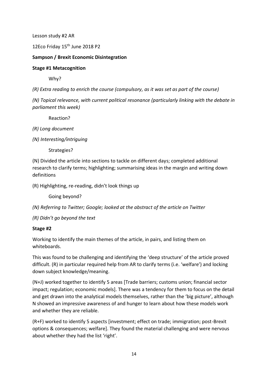Lesson study #2 AR

12Eco Friday 15<sup>th</sup> June 2018 P2

# **Sampson / Brexit Economic Disintegration**

## **Stage #1 Metacognition**

Why?

*(R) Extra reading to enrich the course (compulsory, as it was set as part of the course)*

*(N) Topical relevance, with current political resonance (particularly linking with the debate in parliament this week)*

Reaction?

*(R) Long document*

*(N) Interesting/intriguing*

Strategies?

(N) Divided the article into sections to tackle on different days; completed additional research to clarify terms; highlighting; summarising ideas in the margin and writing down definitions

(R) Highlighting, re-reading, didn't look things up

Going beyond?

*(N) Referring to Twitter; Google; looked at the abstract of the article on Twitter*

*(R) Didn't go beyond the text*

#### **Stage #2**

Working to identify the main themes of the article, in pairs, and listing them on whiteboards.

This was found to be challenging and identifying the 'deep structure' of the article proved difficult. (R) in particular required help from AR to clarify terms (i.e. 'welfare') and locking down subject knowledge/meaning.

(N+J) worked together to identify 5 areas [Trade barriers; customs union; financial sector impact; regulation; economic models]. There was a tendency for them to focus on the detail and get drawn into the analytical models themselves, rather than the 'big picture', although N showed an impressive awareness of and hunger to learn about how these models work and whether they are reliable.

(R+F) worked to identify 5 aspects [investment; effect on trade; immigration; post-Brexit options & consequences; welfare]. They found the material challenging and were nervous about whether they had the list 'right'.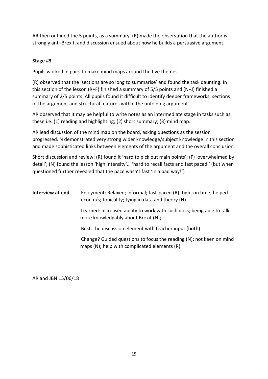AR then outlined the 5 points, as a summary. (R) made the observation that the author is strongly anti-Brexit, and discussion ensued about how he builds a persuasive argument.

# **Stage #3**

Pupils worked in pairs to make mind maps around the five themes.

(R) observed that the 'sections are so long to summarise' and found the task daunting. In this section of the lesson (R+F) finished a summary of 5/5 points and (N+J) finished a summary of 2/5 points. All pupils found it difficult to identify deeper frameworks, sections of the argument and structural features within the unfolding argument.

AR observed that it may be helpful to write notes as an intermediate stage in tasks such as these i.e. (1) reading and highlighting; (2) short summary; (3) mind map.

AR lead discussion of the mind map on the board, asking questions as the session progressed. N demonstrated very strong wider knowledge/subject knowledge in this section and made sophisticated links between elements of the argument and the overall conclusion.

Short discussion and review: (R) found it 'hard to pick out main points'; (F) 'overwhelmed by detail'; (N) found the lesson 'high intensity'… 'hard to recall facts and fast paced.' (but when questioned further revealed that the pace wasn't fast 'in a bad way!')

| Interview at end | Enjoyment: Relaxed; informal; fast-paced (R); tight on time; helped<br>econ u/s; topicality; tying in data and theory (N) |
|------------------|---------------------------------------------------------------------------------------------------------------------------|
|                  | Learned: increased ability to work with such docs; being able to talk<br>more knowledgably about Brexit (N);              |
|                  | Best: the discussion element with teacher input (both)                                                                    |
|                  | Change? Guided questions to focus the reading (N); not keen on mind<br>maps $(N)$ ; help with complicated elements $(R)$  |

AR and JBN 15/06/18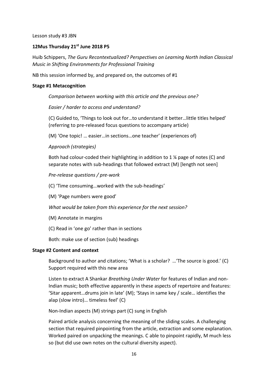Lesson study #3 JBN

#### **12Mus Thursday 21st June 2018 P5**

Huib Schippers, *The Guru Recontextualized? Perspectives on Learning North Indian Classical Music in Shifting Environments for Professional Training*

NB this session informed by, and prepared on, the outcomes of #1

#### **Stage #1 Metacognition**

*Comparison between working with this article and the previous one?*

*Easier / harder to access and understand?*

(C) Guided to, 'Things to look out for…to understand it better…little titles helped' (referring to pre-released focus questions to accompany article)

(M) 'One topic! … easier…in sections…one teacher' (experiences of)

*Approach (strategies)*

Both had colour-coded their highlighting in addition to 1 ¼ page of notes (C) and separate notes with sub-headings that followed extract (M) [length not seen]

*Pre-release questions / pre-work*

(C) 'Time consuming…worked with the sub-headings'

(M) 'Page numbers were good'

*What would be taken from this experience for the next session?*

(M) Annotate in margins

(C) Read in 'one go' rather than in sections

Both: make use of section (sub) headings

#### **Stage #2 Content and context**

Background to author and citations; 'What is a scholar? …'The source is good.' (C) Support required with this new area

Listen to extract A Shankar *Breathing Under Water* for features of Indian and non-Indian music; both effective apparently in these aspects of repertoire and features: 'Sitar apparent…drums join in late' (M); 'Stays in same key / scale… identifies the alap (slow intro)… timeless feel' (C)

Non-Indian aspects (M) strings part (C) sung in English

Paired article analysis concerning the meaning of the sliding scales. A challenging section that required pinpointing from the article, extraction and some explanation. Worked paired on unpacking the meanings. C able to pinpoint rapidly, M much less so (but did use own notes on the cultural diversity aspect).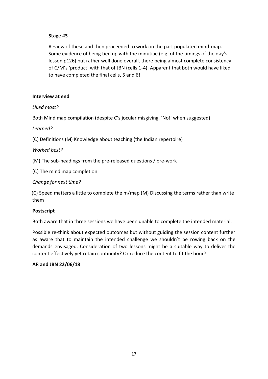# **Stage #3**

Review of these and then proceeded to work on the part populated mind-map. Some evidence of being tied up with the minutiae (e.g. of the timings of the day's lesson p126) but rather well done overall, there being almost complete consistency of C/M's 'product' with that of JBN (cells 1-4). Apparent that both would have liked to have completed the final cells, 5 and 6!

## **Interview at end**

*Liked most?*

Both Mind map compilation (despite C's jocular misgiving, 'No!' when suggested)

*Learned?*

(C) Definitions (M) Knowledge about teaching (the Indian repertoire)

*Worked best?*

(M) The sub-headings from the pre-released questions / pre-work

(C) The mind map completion

*Change for next time?*

(C) Speed matters a little to complete the m/map (M) Discussing the terms rather than write them

# **Postscript**

Both aware that in three sessions we have been unable to complete the intended material.

Possible re-think about expected outcomes but without guiding the session content further as aware that to maintain the intended challenge we shouldn't be rowing back on the demands envisaged. Consideration of two lessons might be a suitable way to deliver the content effectively yet retain continuity? Or reduce the content to fit the hour?

# **AR and JBN 22/06/18**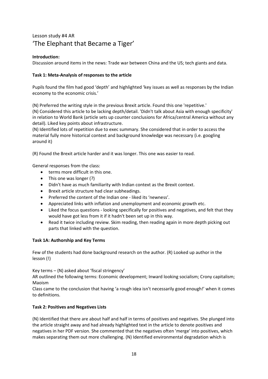# Lesson study #4 AR 'The Elephant that Became a Tiger'

#### **Introduction:**

Discussion around items in the news: Trade war between China and the US; tech giants and data.

#### **Task 1: Meta-Analysis of responses to the article**

Pupils found the film had good 'depth' and highlighted 'key issues as well as responses by the Indian economy to the economic crisis.'

(N) Preferred the writing style in the previous Brexit article. Found this one 'repetitive.'

(N) Considered this article to be lacking depth/detail. 'Didn't talk about Asia with enough specificity' in relation to World Bank (article sets up counter conclusions for Africa/central America without any detail). Liked key points about infrastructure.

(N) Identified lots of repetition due to exec summary. She considered that in order to access the material fully more historical context and background knowledge was necessary (i.e. googling around it)

(R) Found the Brexit article harder and it was longer. This one was easier to read.

General responses from the class:

- terms more difficult in this one.
- This one was longer (?)
- Didn't have as much familiarity with Indian context as the Brexit context.
- Brexit article structure had clear subheadings.
- Preferred the content of the Indian one liked its 'newness'.
- Appreciated links with inflation and unemployment and economic growth etc.
- Liked the focus questions looking specifically for positives and negatives, and felt that they would have got less from it if it hadn't been set up in this way.
- Read it twice including review. Skim reading, then reading again in more depth picking out parts that linked with the question.

#### **Task 1A: Authorship and Key Terms**

Few of the students had done background research on the author. (R) Looked up author in the lesson (!)

Key terms – (N) asked about 'fiscal stringency'

AR outlined the following terms: Economic development; Inward looking socialism; Crony capitalism; Maoism

Class came to the conclusion that having 'a rough idea isn't necessarily good enough!' when it comes to definitions.

#### **Task 2: Positives and Negatives Lists**

(N) Identified that there are about half and half in terms of positives and negatives. She plunged into the article straight away and had already highlighted text in the article to denote positives and negatives in her PDF version. She commented that the negatives often 'merge' into positives, which makes separating them out more challenging. (N) Identified environmental degradation which is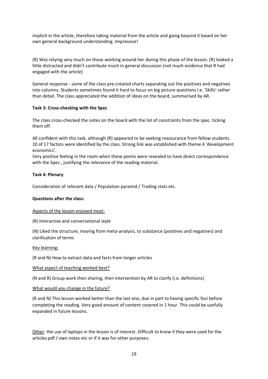implicit in the article, therefore taking material from the article and going beyond it based on her own general background understanding. Impressive!

(R) Was relying very much on those working around her during this phase of the lesson. (R) looked a little distracted and didn't contribute much in general discussion [not much evidence that R had engaged with the article]

General response - some of the class pre-created charts separating out the positives and negatives into columns. Students sometimes found it hard to focus on big picture questions I.e. 'Skills' rather than detail. The class appreciated the addition of ideas on the board, summarised by AR.

#### **Task 3: Cross-checking with the Spec**

The class cross-checked the notes on the board with the list of constraints from the spec. ticking them off.

All confident with this task, although (R) appeared to be seeking reassurance from fellow students. 10 of 17 factors were identified by the class. Strong link was established with theme 4 'development economics'.

Very positive feeling in the room when these points were revealed to have direct correspondence with the Spec., justifying the relevance of the reading material.

#### **Task 4: Plenary**

Consideration of relevant data / Population pyramid / Trading stats etc.

#### **Questions after the class:**

#### Aspects of the lesson enjoyed most:

(R) Interactive and conversational style

(N) Liked the structure, moving from meta-analysis, to substance (positives and negatives) and clarification of terms

#### Key learning:

(R and N) How to extract data and facts from longer articles

#### What aspect of teaching worked best?

(N and R) Group work then sharing, then intervention by AR to clarify (i.e. definitions)

#### What would you change in the future?

(R and N) This lesson worked better than the last one, due in part to having specific foci before completing the reading. Very good amount of content covered in 1 hour. This could be usefully expanded in future lessons.

Other: the use of laptops in the lesson is of interest. Difficult to know if they were used for the articles pdf / own notes etc or if it was for other purposes.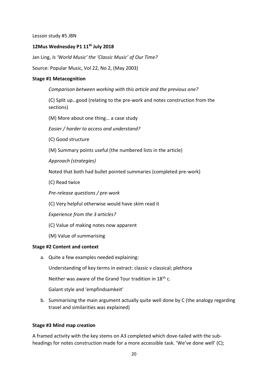Lesson study #5 JBN

#### **12Mus Wednesday P1 11th July 2018**

Jan Ling, *Is 'World Music' the 'Classic Music' of Our Time?*

Source: Popular Music, Vol 22, No 2, (May 2003)

#### **Stage #1 Metacognition**

*Comparison between working with this article and the previous one?*

(C) Split up…good (relating to the pre-work and notes construction from the sections)

(M) More about one thing… a case study

*Easier / harder to access and understand?*

(C) Good structure

(M) Summary points useful (the numbered lists in the article)

*Approach (strategies)*

Noted that both had bullet pointed summaries (completed pre-work)

(C) Read twice

*Pre-release questions / pre-work*

(C) Very helpful otherwise would have skim read it

*Experience from the 3 articles?*

- (C) Value of making notes now apparent
- (M) Value of summarising

#### **Stage #2 Content and context**

a. Quite a few examples needed explaining:

Understanding of key terms in extract: classic v classical; plethora

Neither was aware of the Grand Tour tradition in 18th c.

Galant style and 'empfindsamkeit'

b. Summarising the main argument actually quite well done by C (the analogy regarding travel and similarities was explained)

# **Stage #3 Mind map creation**

A framed activity with the key stems on A3 completed which dove-tailed with the subheadings for notes construction made for a more accessible task. 'We've done well' (C);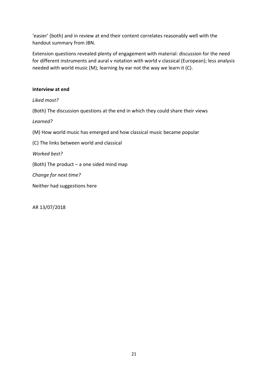'easier' (both) and in review at end their content correlates reasonably well with the handout summary from JBN.

Extension questions revealed plenty of engagement with material: discussion for the need for different instruments and aural v notation with world v classical (European); less analysis needed with world music (M); learning by ear not the way we learn it (C).

# **Interview at end**

*Liked most?*

(Both) The discussion questions at the end in which they could share their views

*Learned?*

(M) How world music has emerged and how classical music became popular

(C) The links between world and classical

*Worked best?*

(Both) The product – a one sided mind map

*Change for next time?*

Neither had suggestions here

AR 13/07/2018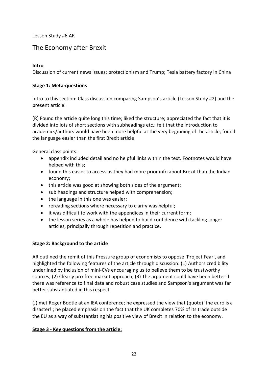Lesson Study #6 AR

# The Economy after Brexit

# **Intro**

Discussion of current news issues: protectionism and Trump; Tesla battery factory in China

#### **Stage 1: Meta-questions**

Intro to this section: Class discussion comparing Sampson's article (Lesson Study #2) and the present article.

(R) Found the article quite long this time; liked the structure; appreciated the fact that it is divided into lots of short sections with subheadings etc.; felt that the introduction to academics/authors would have been more helpful at the very beginning of the article; found the language easier than the first Brexit article

General class points:

- appendix included detail and no helpful links within the text. Footnotes would have helped with this;
- found this easier to access as they had more prior info about Brexit than the Indian economy;
- this article was good at showing both sides of the argument;
- sub headings and structure helped with comprehension;
- the language in this one was easier;
- rereading sections where necessary to clarify was helpful;
- it was difficult to work with the appendices in their current form;
- the lesson series as a whole has helped to build confidence with tackling longer articles, principally through repetition and practice.

# **Stage 2: Background to the article**

AR outlined the remit of this Pressure group of economists to oppose 'Project Fear', and highlighted the following features of the article through discussion: (1) Authors credibility underlined by inclusion of mini-CVs encouraging us to believe them to be trustworthy sources; (2) Clearly pro-free market approach; (3) The argument could have been better if there was reference to final data and robust case studies and Sampson's argument was far better substantiated in this respect

(J) met Roger Bootle at an IEA conference; he expressed the view that (quote) 'the euro is a disaster!'; he placed emphasis on the fact that the UK completes 70% of its trade outside the EU as a way of substantiating his positive view of Brexit in relation to the economy.

# **Stage 3 - Key questions from the article:**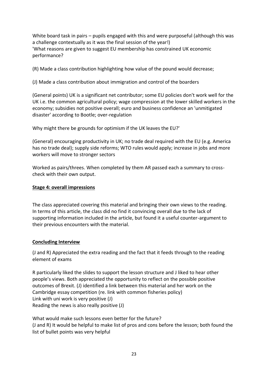White board task in pairs – pupils engaged with this and were purposeful (although this was a challenge contextually as it was the final session of the year!) 'What reasons are given to suggest EU membership has constrained UK economic performance?

(R) Made a class contribution highlighting how value of the pound would decrease;

(J) Made a class contribution about immigration and control of the boarders

(General points) UK is a significant net contributor; some EU policies don't work well for the UK i.e. the common agricultural policy; wage compression at the lower skilled workers in the economy; subsidies not positive overall; euro and business confidence an 'unmitigated disaster' according to Bootle; over-regulation

Why might there be grounds for optimism if the UK leaves the EU?'

(General) encouraging productivity in UK; no trade deal required with the EU (e.g. America has no trade deal); supply side reforms; WTO rules would apply; increase in jobs and more workers will move to stronger sectors

Worked as pairs/threes. When completed by them AR passed each a summary to crosscheck with their own output.

# **Stage 4: overall impressions**

The class appreciated covering this material and bringing their own views to the reading. In terms of this article, the class did no find it convincing overall due to the lack of supporting information included in the article, but found it a useful counter-argument to their previous encounters with the material.

# **Concluding Interview**

(J and R) Appreciated the extra reading and the fact that it feeds through to the reading element of exams

R particularly liked the slides to support the lesson structure and J liked to hear other people's views. Both appreciated the opportunity to reflect on the possible positive outcomes of Brexit. (J) identified a link between this material and her work on the Cambridge essay competition (re. link with common fisheries policy) Link with uni work is very positive (J) Reading the news is also really positive (J)

What would make such lessons even better for the future? (J and R) It would be helpful to make list of pros and cons before the lesson; both found the list of bullet points was very helpful